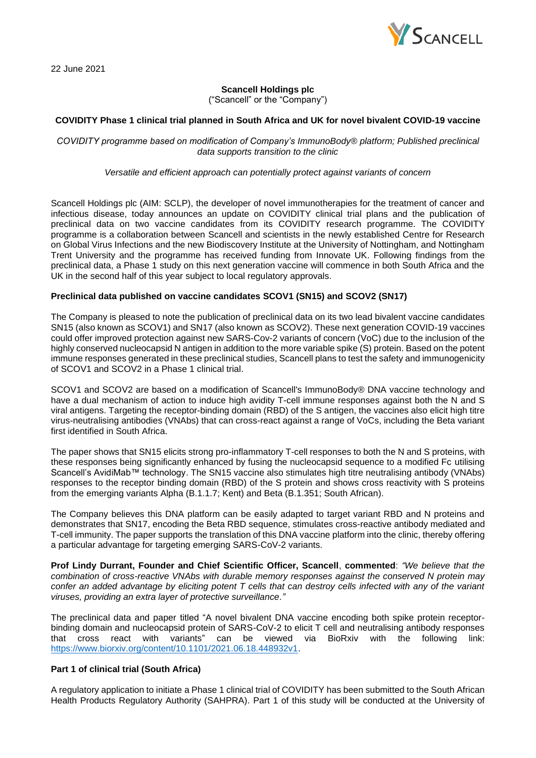

22 June 2021

# **Scancell Holdings plc**

("Scancell" or the "Company")

## **COVIDITY Phase 1 clinical trial planned in South Africa and UK for novel bivalent COVID-19 vaccine**

*COVIDITY programme based on modification of Company's ImmunoBody® platform; Published preclinical data supports transition to the clinic* 

*Versatile and efficient approach can potentially protect against variants of concern*

Scancell Holdings plc (AIM: SCLP), the developer of novel immunotherapies for the treatment of cancer and infectious disease, today announces an update on COVIDITY clinical trial plans and the publication of preclinical data on two vaccine candidates from its COVIDITY research programme. The COVIDITY programme is a collaboration between Scancell and scientists in the newly established Centre for Research on Global Virus Infections and the new Biodiscovery Institute at the University of Nottingham, and Nottingham Trent University and the programme has received funding from Innovate UK. Following findings from the preclinical data, a Phase 1 study on this next generation vaccine will commence in both South Africa and the UK in the second half of this year subject to local regulatory approvals.

## **Preclinical data published on vaccine candidates SCOV1 (SN15) and SCOV2 (SN17)**

The Company is pleased to note the publication of preclinical data on its two lead bivalent vaccine candidates SN15 (also known as SCOV1) and SN17 (also known as SCOV2). These next generation COVID-19 vaccines could offer improved protection against new SARS-Cov-2 variants of concern (VoC) due to the inclusion of the highly conserved nucleocapsid N antigen in addition to the more variable spike (S) protein. Based on the potent immune responses generated in these preclinical studies, Scancell plans to test the safety and immunogenicity of SCOV1 and SCOV2 in a Phase 1 clinical trial.

SCOV1 and SCOV2 are based on a modification of Scancell's ImmunoBody® DNA vaccine technology and have a dual mechanism of action to induce high avidity T-cell immune responses against both the N and S viral antigens. Targeting the receptor-binding domain (RBD) of the S antigen, the vaccines also elicit high titre virus-neutralising antibodies (VNAbs) that can cross-react against a range of VoCs, including the Beta variant first identified in South Africa.

The paper shows that SN15 elicits strong pro-inflammatory T-cell responses to both the N and S proteins, with these responses being significantly enhanced by fusing the nucleocapsid sequence to a modified Fc utilising Scancell's AvidiMab™ technology. The SN15 vaccine also stimulates high titre neutralising antibody (VNAbs) responses to the receptor binding domain (RBD) of the S protein and shows cross reactivity with S proteins from the emerging variants Alpha (B.1.1.7; Kent) and Beta (B.1.351; South African).

The Company believes this DNA platform can be easily adapted to target variant RBD and N proteins and demonstrates that SN17, encoding the Beta RBD sequence, stimulates cross-reactive antibody mediated and T-cell immunity. The paper supports the translation of this DNA vaccine platform into the clinic, thereby offering a particular advantage for targeting emerging SARS-CoV-2 variants.

**Prof Lindy Durrant, Founder and Chief Scientific Officer, Scancell**, **commented**: *"We believe that the combination of cross-reactive VNAbs with durable memory responses against the conserved N protein may confer an added advantage by eliciting potent T cells that can destroy cells infected with any of the variant viruses, providing an extra layer of protective surveillance."*

The preclinical data and paper titled "A novel bivalent DNA vaccine encoding both spike protein receptorbinding domain and nucleocapsid protein of SARS-CoV-2 to elicit T cell and neutralising antibody responses that cross react with variants" can be viewed via BioRxiv with the following link: [https://www.biorxiv.org/content/10.1101/2021.06.18.448932v1.](https://www.biorxiv.org/content/10.1101/2021.06.18.448932v1)

## **Part 1 of clinical trial (South Africa)**

A regulatory application to initiate a Phase 1 clinical trial of COVIDITY has been submitted to the South African Health Products Regulatory Authority (SAHPRA). Part 1 of this study will be conducted at the University of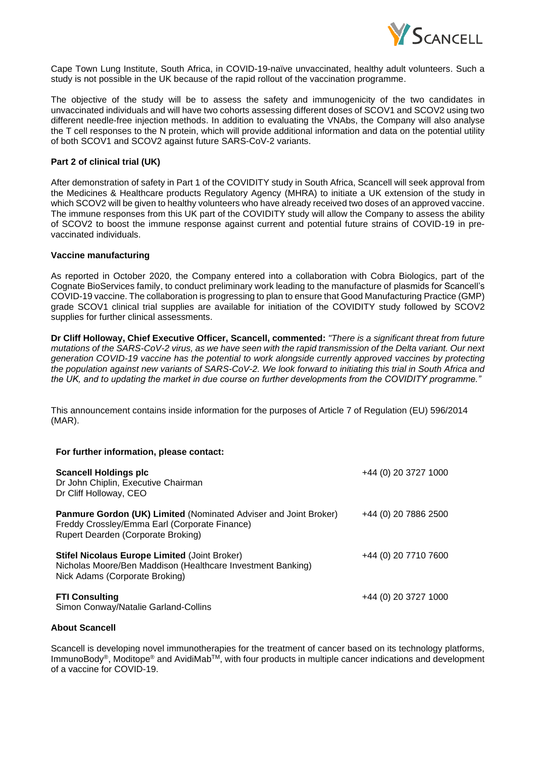

Cape Town Lung Institute, South Africa, in COVID-19-naïve unvaccinated, healthy adult volunteers. Such a study is not possible in the UK because of the rapid rollout of the vaccination programme.

The objective of the study will be to assess the safety and immunogenicity of the two candidates in unvaccinated individuals and will have two cohorts assessing different doses of SCOV1 and SCOV2 using two different needle-free injection methods. In addition to evaluating the VNAbs, the Company will also analyse the T cell responses to the N protein, which will provide additional information and data on the potential utility of both SCOV1 and SCOV2 against future SARS-CoV-2 variants.

## **Part 2 of clinical trial (UK)**

After demonstration of safety in Part 1 of the COVIDITY study in South Africa, Scancell will seek approval from the Medicines & Healthcare products Regulatory Agency (MHRA) to initiate a UK extension of the study in which SCOV2 will be given to healthy volunteers who have already received two doses of an approved vaccine. The immune responses from this UK part of the COVIDITY study will allow the Company to assess the ability of SCOV2 to boost the immune response against current and potential future strains of COVID-19 in prevaccinated individuals.

## **Vaccine manufacturing**

As reported in October 2020, the Company entered into a collaboration with Cobra Biologics, part of the Cognate BioServices family, to conduct preliminary work leading to the manufacture of plasmids for Scancell's COVID-19 vaccine. The collaboration is progressing to plan to ensure that Good Manufacturing Practice (GMP) grade SCOV1 clinical trial supplies are available for initiation of the COVIDITY study followed by SCOV2 supplies for further clinical assessments.

**Dr Cliff Holloway, Chief Executive Officer, Scancell, commented:** *"There is a significant threat from future mutations of the SARS-CoV-2 virus, as we have seen with the rapid transmission of the Delta variant. Our next generation COVID-19 vaccine has the potential to work alongside currently approved vaccines by protecting the population against new variants of SARS-CoV-2. We look forward to initiating this trial in South Africa and the UK, and to updating the market in due course on further developments from the COVIDITY programme."*

This announcement contains inside information for the purposes of Article 7 of Regulation (EU) 596/2014 (MAR).

## **For further information, please contact:**

| <b>Scancell Holdings plc</b><br>Dr John Chiplin, Executive Chairman<br>Dr Cliff Holloway, CEO                                                                  | +44 (0) 20 3727 1000 |
|----------------------------------------------------------------------------------------------------------------------------------------------------------------|----------------------|
| <b>Panmure Gordon (UK) Limited (Nominated Adviser and Joint Broker)</b><br>Freddy Crossley/Emma Earl (Corporate Finance)<br>Rupert Dearden (Corporate Broking) | +44 (0) 20 7886 2500 |
| <b>Stifel Nicolaus Europe Limited (Joint Broker)</b><br>Nicholas Moore/Ben Maddison (Healthcare Investment Banking)<br>Nick Adams (Corporate Broking)          | +44 (0) 20 7710 7600 |
| <b>FTI Consulting</b><br>Simon Conway/Natalie Garland-Collins                                                                                                  | +44 (0) 20 3727 1000 |

## **About Scancell**

Scancell is developing novel immunotherapies for the treatment of cancer based on its technology platforms, ImmunoBody®, Moditope® and AvidiMabTM, with four products in multiple cancer indications and development of a vaccine for COVID-19.